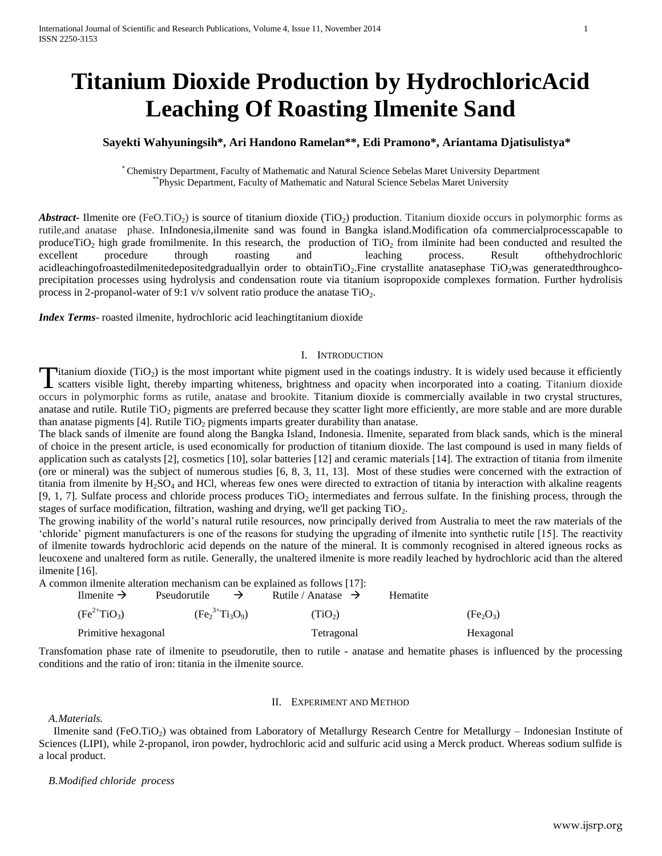# **Titanium Dioxide Production by HydrochloricAcid Leaching Of Roasting Ilmenite Sand**

## **Sayekti Wahyuningsih\*, Ari Handono Ramelan\*\*, Edi Pramono\*, Ariantama Djatisulistya\***

\* Chemistry Department, Faculty of Mathematic and Natural Science Sebelas Maret University Department \*\*Physic Department, Faculty of Mathematic and Natural Science Sebelas Maret University

*Abstract* Ilmenite ore (FeO.TiO<sub>2</sub>) is source of titanium dioxide (TiO<sub>2</sub>) production. Titanium dioxide occurs in polymorphic forms as rutile,and anatase phase. InIndonesia,ilmenite sand was found in Bangka island.Modification ofa commercialprocesscapable to produceTiO<sub>2</sub> high grade fromilmenite. In this research, the production of TiO<sub>2</sub> from ilminite had been conducted and resulted the excellent procedure through roasting and leaching process. Result of the hydrochloric excellent procedure through roasting and leaching process. Result ofthehydrochloric acidleachingofroastedilmenitedepositedgraduallyin order to obtainTiO<sub>2</sub>.Fine crystallite anatasephase TiO<sub>2</sub>was generatedthroughcoprecipitation processes using hydrolysis and condensation route via titanium isopropoxide complexes formation. Further hydrolisis process in 2-propanol-water of 9:1 v/v solvent ratio produce the anatase  $TiO<sub>2</sub>$ .

*Index Terms*- roasted ilmenite, hydrochloric acid leachingtitanium dioxide

### I. INTRODUCTION

Titanium dioxide (TiO<sub>2</sub>) is the most important white pigment used in the coatings industry. It is widely used because it efficiently Titanium dioxide (TiO<sub>2</sub>) is the most important white pigment used in the coatings industry. It is widely used because it efficiently scatters visible light, thereby imparting whiteness, brightness and opacity when incorpo occurs in polymorphic forms as rutile, anatase and brookite. Titanium dioxide is commercially available in two crystal structures, anatase and rutile. Rutile  $TiO<sub>2</sub>$  pigments are preferred because they scatter light more efficiently, are more stable and are more durable than anatase pigments  $[4]$ . Rutile TiO<sub>2</sub> pigments imparts greater durability than anatase.

The black sands of ilmenite are found along the Bangka Island, Indonesia. Ilmenite, separated from black sands, which is the mineral of choice in the present article, is used economically for production of titanium dioxide. The last compound is used in many fields of application such as catalysts [2], cosmetics [10], solar batteries [12] and ceramic materials [14]. The extraction of titania from ilmenite (ore or mineral) was the subject of numerous studies [6, 8, 3, 11, 13]. Most of these studies were concerned with the extraction of titania from ilmenite by  $H_2SO_4$  and HCl, whereas few ones were directed to extraction of titania by interaction with alkaline reagents [9, 1, 7]. Sulfate process and chloride process produces  $TiO<sub>2</sub>$  intermediates and ferrous sulfate. In the finishing process, through the stages of surface modification, filtration, washing and drying, we'll get packing  $TiO<sub>2</sub>$ .

The growing inability of the world's natural rutile resources, now principally derived from Australia to meet the raw materials of the 'chloride' pigment manufacturers is one of the reasons for studying the upgrading of ilmenite into synthetic rutile [15]. The reactivity of ilmenite towards hydrochloric acid depends on the nature of the mineral. It is commonly recognised in altered igneous rocks as leucoxene and unaltered form as rutile. Generally, the unaltered ilmenite is more readily leached by hydrochloric acid than the altered ilmenite [16].

A common ilmenite alteration mechanism can be explained as follows [17]:

| Ilmenite $\rightarrow$ | Pseudorutile<br>$\rightarrow$ | Rutile / Anatase $\rightarrow$ | Hematite |                                   |
|------------------------|-------------------------------|--------------------------------|----------|-----------------------------------|
| $(Fe^{2+}TiO3)$        | $(Fe23+Ti3O9)$                | (TiO <sub>2</sub> )            |          | (Fe <sub>2</sub> O <sub>3</sub> ) |
| Primitive hexagonal    |                               | Tetragonal                     |          | Hexagonal                         |

Transfomation phase rate of ilmenite to pseudorutile, then to rutile - anatase and hematite phases is influenced by the processing conditions and the ratio of iron: titania in the ilmenite source.

### II. EXPERIMENT AND METHOD

*A.Materials.* 

Ilmenite sand (FeO.TiO<sub>2</sub>) was obtained from Laboratory of Metallurgy Research Centre for Metallurgy – Indonesian Institute of Sciences (LIPI), while 2-propanol, iron powder, hydrochloric acid and sulfuric acid using a Merck product. Whereas sodium sulfide is a local product.

#### *B.Modified chloride process*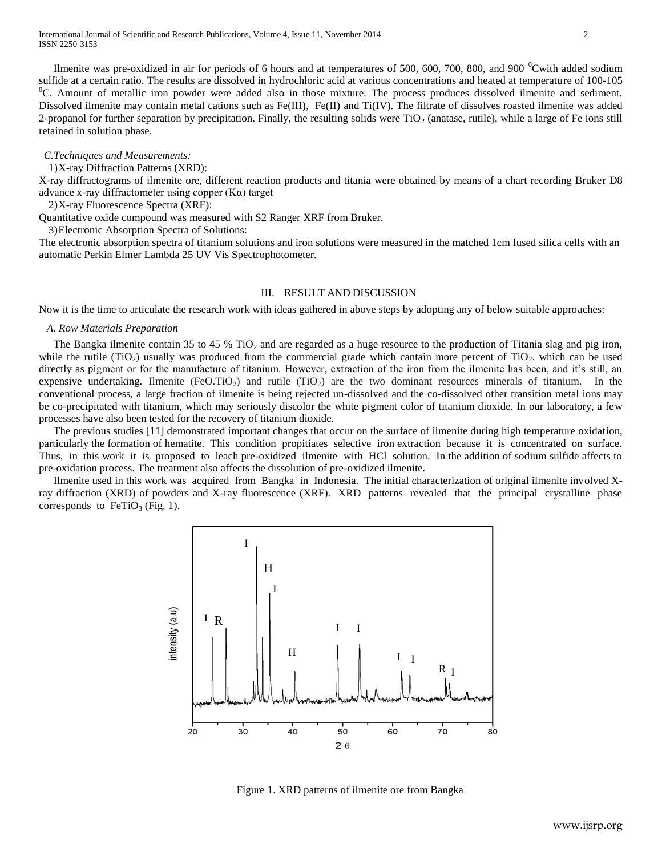Ilmenite was pre-oxidized in air for periods of 6 hours and at temperatures of 500, 600, 700, 800, and 900  $\textdegree$ Cwith added sodium sulfide at a certain ratio. The results are dissolved in hydrochloric acid at various concentrations and heated at temperature of 100-105 <sup>0</sup>C. Amount of metallic iron powder were added also in those mixture. The process produces dissolved ilmenite and sediment. Dissolved ilmenite may contain metal cations such as Fe(III), Fe(II) and Ti(IV). The filtrate of dissolves roasted ilmenite was added 2-propanol for further separation by precipitation. Finally, the resulting solids were  $TiO<sub>2</sub>$  (anatase, rutile), while a large of Fe ions still retained in solution phase.

#### *C.Techniques and Measurements:*

## 1)X-ray Diffraction Patterns (XRD):

X-ray diffractograms of ilmenite ore, different reaction products and titania were obtained by means of a chart recording Bruker D8 advance x-ray diffractometer using copper (Kα) target

2)X-ray Fluorescence Spectra (XRF):

Quantitative oxide compound was measured with S2 Ranger XRF from Bruker.

3)Electronic Absorption Spectra of Solutions:

The electronic absorption spectra of titanium solutions and iron solutions were measured in the matched 1cm fused silica cells with an automatic Perkin Elmer Lambda 25 UV Vis Spectrophotometer.

#### III. RESULT AND DISCUSSION

Now it is the time to articulate the research work with ideas gathered in above steps by adopting any of below suitable approaches:

## *A. Row Materials Preparation*

The Bangka ilmenite contain 35 to 45 %  $TiO<sub>2</sub>$  and are regarded as a huge resource to the production of Titania slag and pig iron, while the rutile (TiO<sub>2</sub>) usually was produced from the commercial grade which cantain more percent of TiO<sub>2</sub>. which can be used directly as pigment or for the manufacture of titanium. However, extraction of the iron from the ilmenite has been, and it's still, an expensive undertaking. Ilmenite (FeO.TiO<sub>2</sub>) and rutile (TiO<sub>2</sub>) are the two dominant resources minerals of titanium. In the conventional process, a large fraction of ilmenite is being rejected un-dissolved and the co-dissolved other transition metal ions may be co-precipitated with titanium, which may seriously discolor the white pigment color of titanium dioxide. In our laboratory, a few processes have also been tested for the recovery of titanium dioxide.

The previous studies [11] demonstrated important changes that occur on the surface of ilmenite during high temperature oxidation, particularly the formation of hematite. This condition propitiates selective iron extraction because it is concentrated on surface. Thus, in this work it is proposed to leach pre-oxidized ilmenite with HCl solution. In the addition of sodium sulfide affects to pre-oxidation process. The treatment also affects the dissolution of pre-oxidized ilmenite.

Ilmenite used in this work was acquired from Bangka in Indonesia. The initial characterization of original ilmenite involved Xray diffraction (XRD) of powders and X-ray fluorescence (XRF). XRD patterns revealed that the principal crystalline phase corresponds to  $FeTiO<sub>3</sub>$  (Fig. 1).



Figure 1. XRD patterns of ilmenite ore from Bangka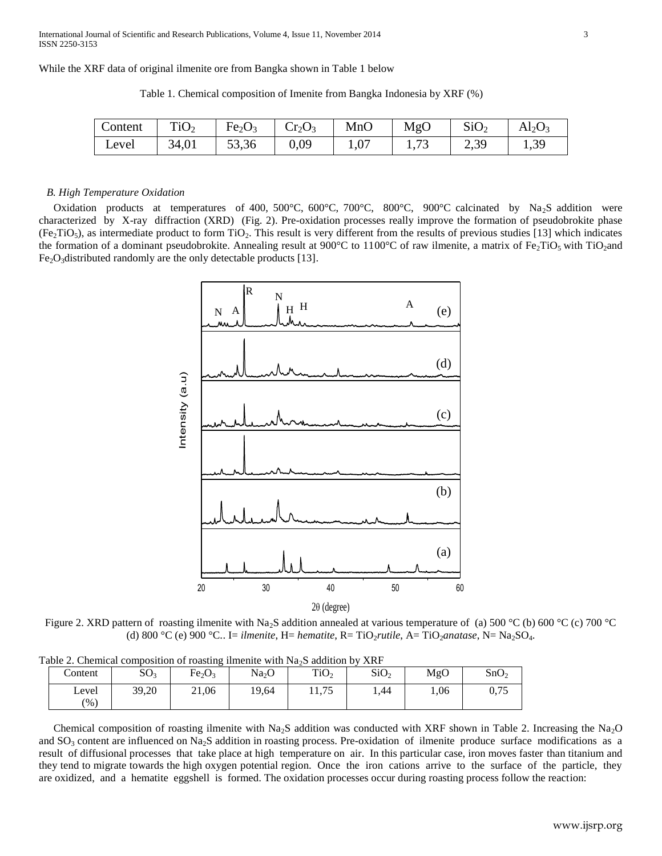While the XRF data of original ilmenite ore from Bangka shown in Table 1 below

Table 1. Chemical composition of Imenite from Bangka Indonesia by XRF (%)

| Content | TiO <sub>2</sub> | Fe <sub>2</sub> O <sub>3</sub> | $\mid$ Cr <sub>2</sub> O <sub>3</sub> | MnO  | MgO | SiO <sub>2</sub> | $Al_2O_3$ |
|---------|------------------|--------------------------------|---------------------------------------|------|-----|------------------|-----------|
| Level   | 34,01            | 53,36                          | 0,09                                  | 1,07 |     | 2,39             | 1,39      |

#### *B. High Temperature Oxidation*

Oxidation products at temperatures of 400, 500°C, 600°C, 700°C, 800°C, 900°C calcinated by Na<sub>2</sub>S addition were characterized by X-ray diffraction (XRD) (Fig. 2). Pre-oxidation processes really improve the formation of pseudobrokite phase  $(Fe, TiO<sub>5</sub>)$ , as intermediate product to form TiO<sub>2</sub>. This result is very different from the results of previous studies [13] which indicates the formation of a dominant pseudobrokite. Annealing result at 900°C to 1100°C of raw ilmenite, a matrix of Fe<sub>2</sub>TiO<sub>5</sub> with TiO<sub>2</sub>and  $Fe<sub>2</sub>O<sub>3</sub>$ distributed randomly are the only detectable products [13].



Figure 2. XRD pattern of roasting ilmenite with Na<sub>2</sub>S addition annealed at various temperature of (a) 500 °C (b) 600 °C (c) 700 °C (d)  $800 °C$  (e)  $900 °C$ .. I= *ilmenite*, H= *hematite*, R= TiO<sub>2</sub>*rutile*, A= TiO<sub>2</sub>*anatase*, N= Na<sub>2</sub>SO<sub>4</sub>.

|  |  |  | Table 2. Chemical composition of roasting ilmenite with $Na2S$ addition by XRF |  |  |  |  |  |
|--|--|--|--------------------------------------------------------------------------------|--|--|--|--|--|
|  |  |  |                                                                                |  |  |  |  |  |

| Content       | SO <sub>3</sub> | Fe <sub>2</sub> O <sub>3</sub> | Na <sub>2</sub> O | TiO <sub>2</sub> | SiO <sub>2</sub> | MgO  | SnO <sub>2</sub> |
|---------------|-----------------|--------------------------------|-------------------|------------------|------------------|------|------------------|
| Level<br>(96) | 39,20           | 21,06                          | 19,64             | 11,75            | 1.44             | 1,06 | 0,75             |

Chemical composition of roasting ilmenite with Na<sub>2</sub>S addition was conducted with XRF shown in Table 2. Increasing the Na<sub>2</sub>O and  $SO_3$  content are influenced on Na<sub>2</sub>S addition in roasting process. Pre-oxidation of ilmenite produce surface modifications as a result of diffusional processes that take place at high temperature on air. In this particular case, iron moves faster than titanium and they tend to migrate towards the high oxygen potential region. Once the iron cations arrive to the surface of the particle, they are oxidized, and a hematite eggshell is formed. The oxidation processes occur during roasting process follow the reaction: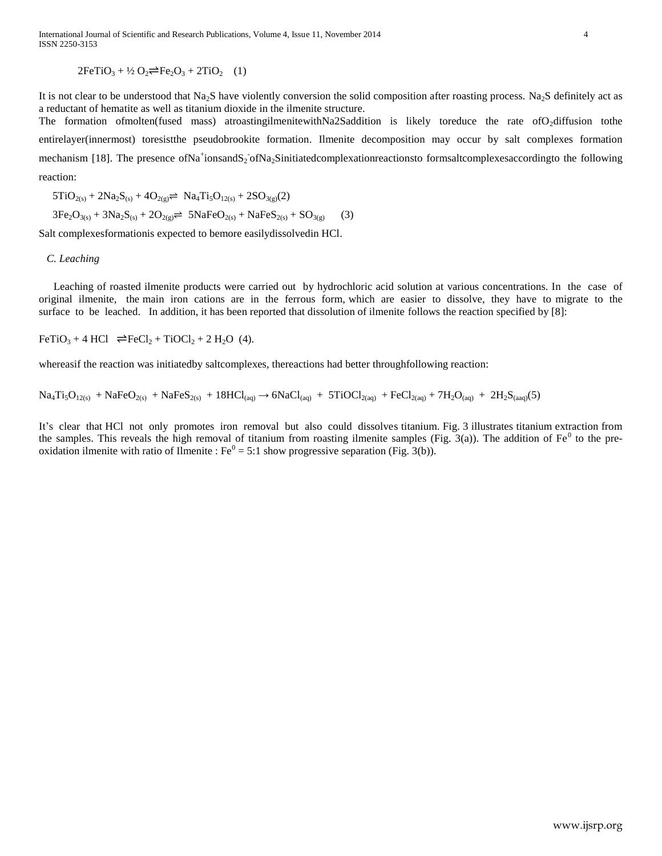## $2FeTiO<sub>3</sub> + 4/2 O<sub>2</sub> \rightleftharpoons Fe<sub>2</sub>O<sub>3</sub> + 2TiO<sub>2</sub> (1)$

It is not clear to be understood that Na<sub>2</sub>S have violently conversion the solid composition after roasting process. Na<sub>2</sub>S definitely act as a reductant of hematite as well as titanium dioxide in the ilmenite structure. The formation ofmolten(fused mass) atroastingilmenitewithNa2Saddition is likely toreduce the rate ofO<sub>2</sub>diffusion tothe entirelayer(innermost) toresistthe pseudobrookite formation. Ilmenite decomposition may occur by salt complexes formation mechanism [18]. The presence ofNa<sup>+</sup>ionsandS<sub>2</sub> ofNa<sub>2</sub>Sinitiatedcomplexationreactionsto formsaltcomplexesaccordingto the following reaction:

 $5TiO_{2(s)} + 2Na_2S_{(s)} + 4O_{2(g)} \rightleftharpoons Na_4Ti_5O_{12(s)} + 2SO_{3(g)}(2)$  $3Fe_2O_{3(s)} + 3Na_2S_{(s)} + 2O_{2(s)} \rightleftharpoons 5NaFeO_{2(s)} + NaFeS_{2(s)} + SO_{3(s)}$  (3)

Salt complexesformationis expected to bemore easilydissolvedin HCl.

#### *C. Leaching*

Leaching of roasted ilmenite products were carried out by hydrochloric acid solution at various concentrations. In the case of original ilmenite, the main iron cations are in the ferrous form, which are easier to dissolve, they have to migrate to the surface to be leached. In addition, it has been reported that dissolution of ilmenite follows the reaction specified by [8]:

 $FeTiO<sub>3</sub> + 4 HCl \rightleftharpoons FeCl<sub>2</sub> + TiOCl<sub>2</sub> + 2 H<sub>2</sub>O$  (4).

whereasif the reaction was initiatedby saltcomplexes, thereactions had better throughfollowing reaction:

 $Na_4Ti_5O_{12(s)} + NaFeO_{2(s)} + NaFeS_{2(s)} + 18HCl_{(aq)} \rightarrow 6NaCl_{(aq)} + 5TiOCl_{2(aq)} + FeCl_{2(aq)} + 7H_2O_{(aq)} + 2H_2S_{(aaq)}(5)$ 

It's clear that HCl not only promotes iron removal but also could dissolves titanium. Fig. 3 illustrates titanium extraction from the samples. This reveals the high removal of titanium from roasting ilmenite samples (Fig.  $3(a)$ ). The addition of Fe<sup>0</sup> to the preoxidation ilmenite with ratio of Ilmenite :  $Fe^0 = 5:1$  show progressive separation (Fig. 3(b)).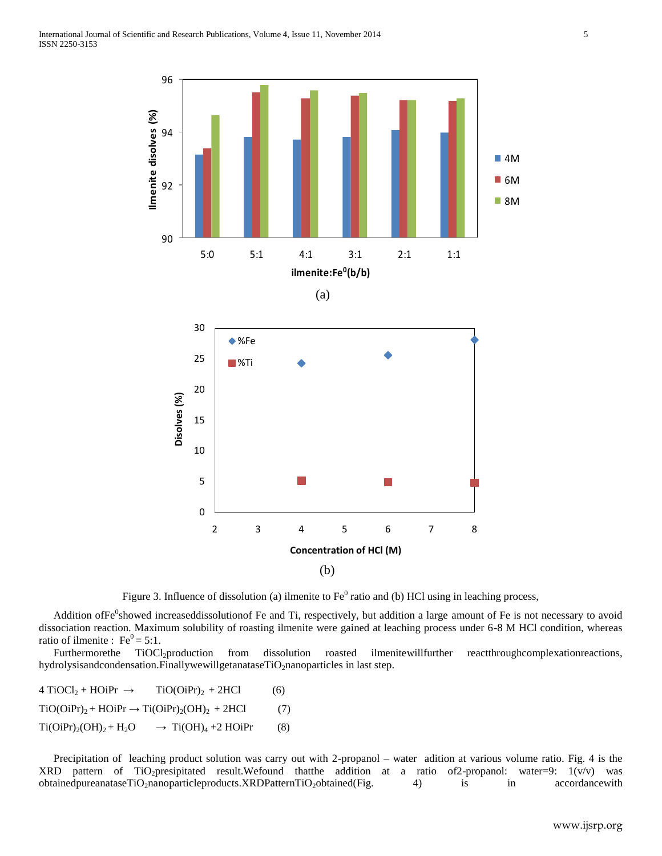

Figure 3. Influence of dissolution (a) ilmenite to  $Fe^0$  ratio and (b) HCl using in leaching process,

Addition of Fe<sup>0</sup>showed increaseddissolutionof Fe and Ti, respectively, but addition a large amount of Fe is not necessary to avoid dissociation reaction. Maximum solubility of roasting ilmenite were gained at leaching process under 6-8 M HCl condition, whereas ratio of ilmenite :  $Fe^0 = 5:1$ .

Furthermorethe TiOCl<sub>2</sub>production from dissolution roasted ilmenitewillfurther reactthroughcomplexationreactions, hydrolysisandcondensation.FinallywewillgetanataseTiO<sub>2</sub>nanoparticles in last step.

 $4 TiOCl<sub>2</sub> + HOiPr \rightarrow TiO(OiPr)<sub>2</sub> + 2HCl$  (6)  $TiO(OiPr)<sub>2</sub> + HOiPr \rightarrow Ti(OiPr)<sub>2</sub>(OH)<sub>2</sub> + 2HCl$  (7)  $Ti(OiPr)<sub>2</sub>(OH)<sub>2</sub> + H<sub>2</sub>O \rightarrow Ti(OH)<sub>4</sub> + 2 HOiPr$  (8)

Precipitation of leaching product solution was carry out with 2-propanol – water adition at various volume ratio. Fig. 4 is the XRD pattern of TiO2presipitated result.Wefound thatthe addition at a ratio of2-propanol: water=9: 1(v/v) was obtainedpureanataseTiO<sub>2</sub>nanoparticleproducts.XRDPatternTiO<sub>2</sub>obtained(Fig. 4) is in accordancewith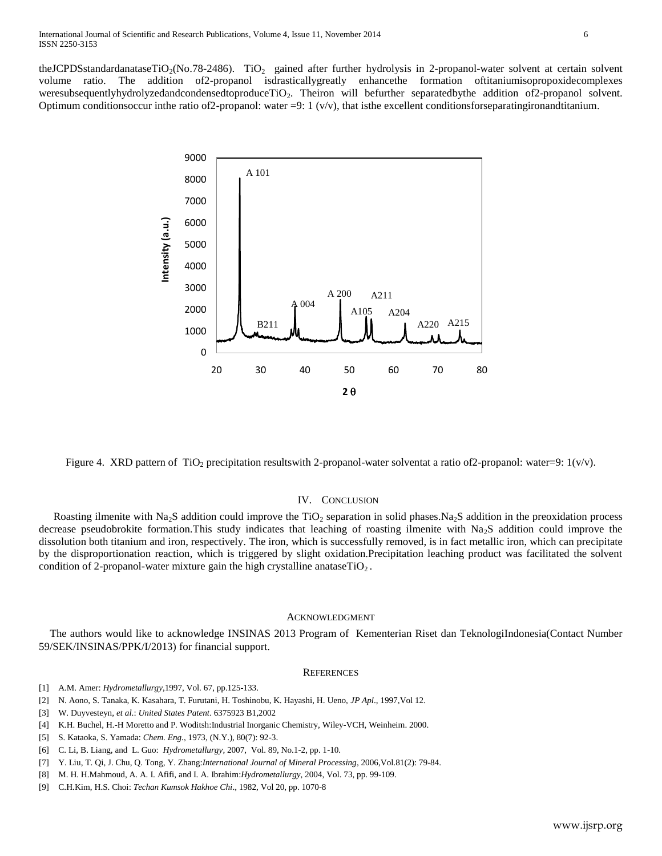theJCPDSstandardanataseTiO<sub>2</sub>(No.78-2486). TiO<sub>2</sub> gained after further hydrolysis in 2-propanol-water solvent at certain solvent volume ratio. The addition of2-propanol isdrasticallygreatly enhancethe formation oftitaniumisopropoxidecomplexes weresubsequentlyhydrolyzedandcondensedtoproduceTiO<sub>2</sub>. Theiron will befurther separatedbythe addition of2-propanol solvent. Optimum conditionsoccur inthe ratio of 2-propanol: water  $=$ 9: 1 (v/v), that is the excellent conditions for separating iron and titanium.



Figure 4. XRD pattern of TiO<sub>2</sub> precipitation resultswith 2-propanol-water solventat a ratio of 2-propanol: water=9:  $1(v/v)$ .

### IV. CONCLUSION

Roasting ilmenite with Na<sub>2</sub>S addition could improve the TiO<sub>2</sub> separation in solid phases.Na<sub>2</sub>S addition in the preoxidation process decrease pseudobrokite formation. This study indicates that leaching of roasting ilmenite with  $Na<sub>2</sub>S$  addition could improve the dissolution both titanium and iron, respectively. The iron, which is successfully removed, is in fact metallic iron, which can precipitate by the disproportionation reaction, which is triggered by slight oxidation.Precipitation leaching product was facilitated the solvent condition of 2-propanol-water mixture gain the high crystalline anatase $TiO<sub>2</sub>$ .

#### ACKNOWLEDGMENT

The authors would like to acknowledge INSINAS 2013 Program of Kementerian Riset dan TeknologiIndonesia(Contact Number 59/SEK/INSINAS/PPK/I/2013) for financial support.

#### **REFERENCES**

- [1] A.M. Amer: *Hydrometallurgy*,1997, Vol. 67, pp.125-133.
- [2] N. Aono, S. Tanaka, K. Kasahara, T. Furutani, H. Toshinobu, K. Hayashi, H. Ueno, *JP Apl*., 1997,Vol 12.
- [3] W. Duyvesteyn, *et al*.: *United States Patent*. 6375923 B1,2002
- [4] K.H. Buchel, H.-H Moretto and P. Woditsh:Industrial Inorganic Chemistry, Wiley-VCH, Weinheim. 2000.
- [5] S. Kataoka, S. Yamada: *Chem. Eng.*, 1973, (N.Y.), 80(7): 92-3.
- [6] C. Li, B. Liang, and L. Guo: *Hydrometallurgy,* 2007, Vol. 89, No.1-2, pp. 1-10.
- [7] Y. Liu, T. Qi, J. Chu, Q. Tong, Y. Zhang:*International Journal of Mineral Processing*, 2006,Vol.81(2): 79-84.
- [8] M. H. H.Mahmoud, A. A. I. Afifi, and I. A. Ibrahim:*Hydrometallurgy*, 2004, Vol. 73, pp. 99-109.
- [9] C.H.Kim, H.S. Choi: *Techan Kumsok Hakhoe Chi*., 1982, Vol 20, pp. 1070-8